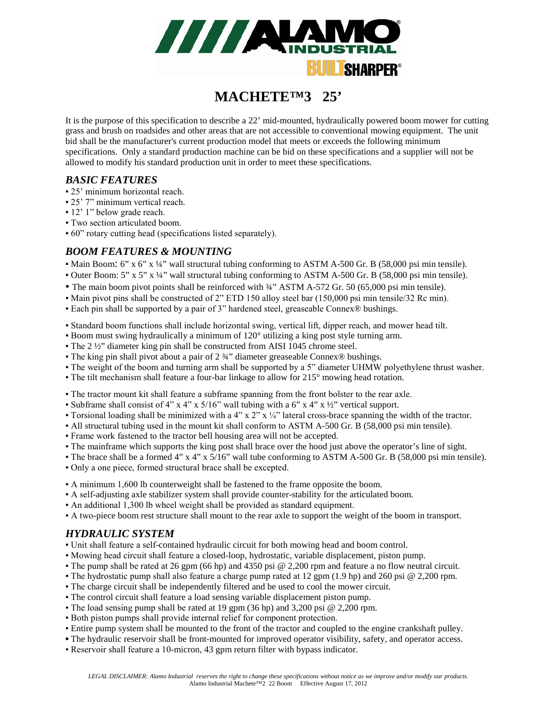

# **MACHETE™3 25'**

It is the purpose of this specification to describe a 22' mid-mounted, hydraulically powered boom mower for cutting grass and brush on roadsides and other areas that are not accessible to conventional mowing equipment. The unit bid shall be the manufacturer's current production model that meets or exceeds the following minimum specifications. Only a standard production machine can be bid on these specifications and a supplier will not be allowed to modify his standard production unit in order to meet these specifications.

#### *BASIC FEATURES*

- 25' minimum horizontal reach.
- 25' 7" minimum vertical reach.
- 12' 1" below grade reach.
- Two section articulated boom.
- 60" rotary cutting head (specifications listed separately).

#### *BOOM FEATURES & MOUNTING*

- Main Boom: 6" x 6" x ¼" wall structural tubing conforming to ASTM A-500 Gr. B (58,000 psi min tensile).
- Outer Boom: 5" x 5" x ¼" wall structural tubing conforming to ASTM A-500 Gr. B (58,000 psi min tensile).
- The main boom pivot points shall be reinforced with <sup>3</sup>⁄4<sup>*''*</sup> ASTM A-572 Gr. 50 (65,000 psi min tensile).
- Main pivot pins shall be constructed of 2" ETD 150 alloy steel bar (150,000 psi min tensile/32 Rc min).
- Each pin shall be supported by a pair of 3" hardened steel, greaseable Connex® bushings.
- Standard boom functions shall include horizontal swing, vertical lift, dipper reach, and mower head tilt.
- Boom must swing hydraulically a minimum of 120° utilizing a king post style turning arm.
- The 2 ½" diameter king pin shall be constructed from AISI 1045 chrome steel.
- The king pin shall pivot about a pair of 2 ¾" diameter greaseable Connex® bushings.
- The weight of the boom and turning arm shall be supported by a 5" diameter UHMW polyethylene thrust washer.
- The tilt mechanism shall feature a four-bar linkage to allow for 215° mowing head rotation.
- The tractor mount kit shall feature a subframe spanning from the front bolster to the rear axle.
- Subframe shall consist of 4" x 4" x 5/16" wall tubing with a 6" x 4" x ½" vertical support.
- **Torsional loading shall be minimized with a 4" x 2" x**  $\frac{1}{4}$ **" lateral cross-brace spanning the width of the tractor.**
- All structural tubing used in the mount kit shall conform to ASTM A-500 Gr. B (58,000 psi min tensile).
- Frame work fastened to the tractor bell housing area will not be accepted.
- The mainframe which supports the king post shall brace over the hood just above the operator's line of sight.
- The brace shall be a formed 4" x 4" x 5/16" wall tube conforming to ASTM A-500 Gr. B (58,000 psi min tensile).
- Only a one piece, formed structural brace shall be excepted.
- A minimum 1,600 lb counterweight shall be fastened to the frame opposite the boom.
- A self-adjusting axle stabilizer system shall provide counter-stability for the articulated boom.
- An additional 1,300 lb wheel weight shall be provided as standard equipment.
- A two-piece boom rest structure shall mount to the rear axle to support the weight of the boom in transport.

#### *HYDRAULIC SYSTEM*

- Unit shall feature a self-contained hydraulic circuit for both mowing head and boom control.
- Mowing head circuit shall feature a closed-loop, hydrostatic, variable displacement, piston pump.
- The pump shall be rated at 26 gpm (66 hp) and 4350 psi @ 2,200 rpm and feature a no flow neutral circuit.
- The hydrostatic pump shall also feature a charge pump rated at 12 gpm (1.9 hp) and 260 psi @ 2,200 rpm.
- The charge circuit shall be independently filtered and be used to cool the mower circuit.
- The control circuit shall feature a load sensing variable displacement piston pump.
- The load sensing pump shall be rated at 19 gpm (36 hp) and 3,200 psi @ 2,200 rpm.
- Both piston pumps shall provide internal relief for component protection.
- Entire pump system shall be mounted to the front of the tractor and coupled to the engine crankshaft pulley.
- The hydraulic reservoir shall be front-mounted for improved operator visibility, safety, and operator access.
- Reservoir shall feature a 10-micron, 43 gpm return filter with bypass indicator.